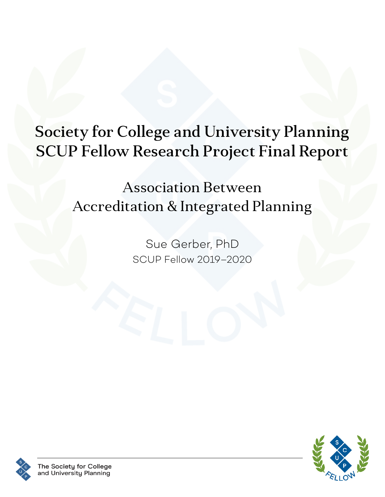# <span id="page-0-0"></span>Society for College and University Planning SCUP Fellow Research Project Final Report

# Association Between Accreditation & Integrated Planning

Sue Gerber, PhD SCUP Fellow 2019–2020



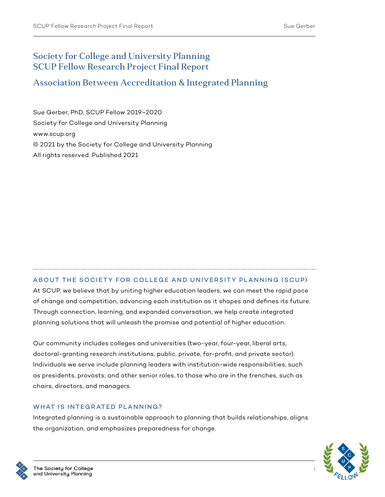#### Society for College and University Planning SCUP Fellow Research Project Final Report

#### Association Between Accreditation & Integrated Planning

Sue Gerber, PhD, SCUP Fellow 2019–2020 Society for College and University Planning [www.scup.org](http://www.scup.org) © 2021 by the Society for College and University Planning All rights reserved. Published 2021

#### ABOUT THE SOCIETY FOR COLLEGE AND UNIVERSITY PLANNING (SCUP)

At SCUP, we believe that by uniting higher education leaders, we can meet the rapid pace of change and competition, advancing each institution as it shapes and defines its future. Through connection, learning, and expanded conversation, we help create integrated planning solutions that will unleash the promise and potential of higher education.

Our community includes colleges and universities (two-year, four-year, liberal arts, doctoral-granting research institutions, public, private, for-profit, and private sector). Individuals we serve include planning leaders with institution-wide responsibilities, such as presidents, provosts, and other senior roles, to those who are in the trenches, such as chairs, directors, and managers.

#### WHAT IS INTEGRATED PLANNING?

Integrated planning is a sustainable approach to planning that builds relationships, aligns the organization, and emphasizes preparedness for change.



i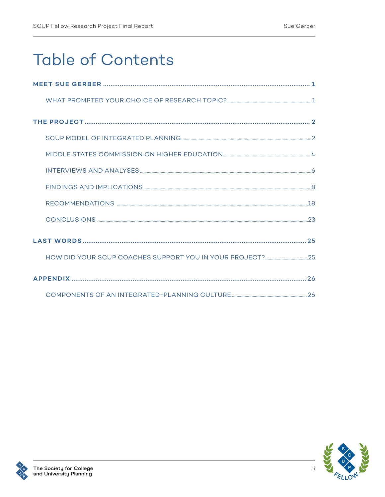# **Table of Contents**

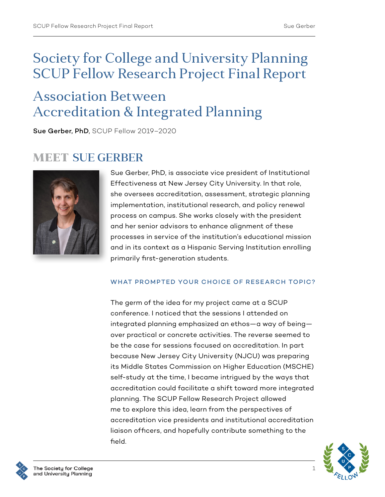## Society for College and University Planning SCUP Fellow Research Project Final Report

## Association Between Accreditation & Integrated Planning

Sue Gerber, PhD, SCUP Fellow 2019–2020

### MEET SUE GERBER



Sue Gerber, PhD, is associate vice president of Institutional Effectiveness at New Jersey City University. In that role, she oversees accreditation, assessment, strategic planning implementation, institutional research, and policy renewal process on campus. She works closely with the president and her senior advisors to enhance alignment of these processes in service of the institution's educational mission and in its context as a Hispanic Serving Institution enrolling primarily first-generation students.

#### WHAT PROMPTED YOUR CHOICE OF RESEARCH TOPIC?

The germ of the idea for my project came at a SCUP conference. I noticed that the sessions I attended on integrated planning emphasized an ethos—a way of being over practical or concrete activities. The reverse seemed to be the case for sessions focused on accreditation. In part because New Jersey City University (NJCU) was preparing its Middle States Commission on Higher Education (MSCHE) self-study at the time, I became intrigued by the ways that accreditation could facilitate a shift toward more integrated planning. The SCUP Fellow Research Project allowed me to explore this idea, learn from the perspectives of accreditation vice presidents and institutional accreditation liaison officers, and hopefully contribute something to the field.



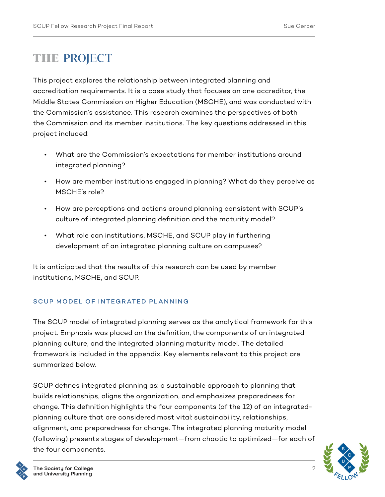## THE PROJECT

This project explores the relationship between integrated planning and accreditation requirements. It is a case study that focuses on one accreditor, the Middle States Commission on Higher Education (MSCHE), and was conducted with the Commission's assistance. This research examines the perspectives of both the Commission and its member institutions. The key questions addressed in this project included:

- What are the Commission's expectations for member institutions around integrated planning?
- How are member institutions engaged in planning? What do they perceive as MSCHE's role?
- How are perceptions and actions around planning consistent with SCUP's culture of integrated planning definition and the maturity model?
- What role can institutions, MSCHE, and SCUP play in furthering development of an integrated planning culture on campuses?

It is anticipated that the results of this research can be used by member institutions, MSCHE, and SCUP.

#### SCUP MODEL OF INTEGRATED PLANNING

The SCUP model of integrated planning serves as the analytical framework for this project. Emphasis was placed on the definition, the components of an integrated planning culture, and the integrated planning maturity model. The detailed framework is included in the appendix. Key elements relevant to this project are summarized below.

SCUP defines integrated planning as: a sustainable approach to planning that builds relationships, aligns the organization, and emphasizes preparedness for change. This definition highlights the four components (of the 12) of an integratedplanning culture that are considered most vital: sustainability, relationships, alignment, and preparedness for change. The integrated planning maturity model (following) presents stages of development—from chaotic to optimized—for each of the four components.



 $\mathcal{P}$ 

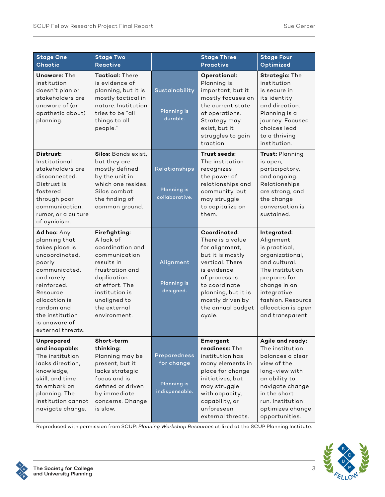| <b>Stage One</b><br>Chaotic                                                                                                                                                                                                  | <b>Stage Two</b><br><b>Reactive</b>                                                                                                                                                                 |                                                                           | <b>Stage Three</b><br><b>Proactive</b>                                                                                                                                                                              | <b>Stage Four</b><br>Optimized                                                                                                                                                                                 |
|------------------------------------------------------------------------------------------------------------------------------------------------------------------------------------------------------------------------------|-----------------------------------------------------------------------------------------------------------------------------------------------------------------------------------------------------|---------------------------------------------------------------------------|---------------------------------------------------------------------------------------------------------------------------------------------------------------------------------------------------------------------|----------------------------------------------------------------------------------------------------------------------------------------------------------------------------------------------------------------|
| <b>Unaware: The</b><br>institution<br>doesn't plan or<br>stakeholders are<br>unaware of (or<br>apathetic about)<br>planning.                                                                                                 | <b>Tactical:</b> There<br>is evidence of<br>planning, but it is<br>mostly tactical in<br>nature. Institution<br>tries to be "all<br>things to all<br>people."                                       | Sustainability<br><b>Planning is</b><br>durable.                          | Operational:<br>Planning is<br>important, but it<br>mostly focuses on<br>the current state<br>of operations.<br>Strategy may<br>exist, but it<br>struggles to gain<br>traction.                                     | <b>Strategic: The</b><br>institution<br>is secure in<br>its identity<br>and direction.<br>Planning is a<br>journey. Focused<br>choices lead<br>to a thriving<br>institution.                                   |
| Distrust:<br>Institutional<br>stakeholders are<br>disconnected.<br>Distrust is<br>fostered<br>through poor<br>communication,<br>rumor, or a culture<br>of cynicism.                                                          | Silos: Bonds exist,<br>but they are<br>mostly defined<br>by the unit in<br>which one resides.<br>Silos combat<br>the finding of<br>common ground.                                                   | Relationships<br>Planning is<br>collaborative.                            | Trust seeds:<br>The institution<br>recognizes<br>the power of<br>relationships and<br>community, but<br>may struggle<br>to capitalize on<br>them.                                                                   | Trust: Planning<br>is open,<br>participatory,<br>and ongoing.<br>Relationships<br>are strong, and<br>the change<br>conversation is<br>sustained.                                                               |
| Ad hoc: Any<br>planning that<br>takes place is<br>uncoordinated,<br>poorly<br>communicated,<br>and rarely<br>reinforced.<br>Resource<br>allocation is<br>random and<br>the institution<br>is unaware of<br>external threats. | Firefighting:<br>A lack of<br>coordination and<br>communication<br>results in<br>frustration and<br>duplication<br>of effort. The<br>institution is<br>unaligned to<br>the external<br>environment. | Alignment<br><b>Planning is</b><br>designed.                              | Coordinated:<br>There is a value<br>for alignment,<br>but it is mostly<br>vertical. There<br>is evidence<br>of processes<br>to coordinate<br>planning, but it is<br>mostly driven by<br>the annual budget<br>cycle. | Integrated:<br>Alignment<br>is practical,<br>organizational,<br>and cultural.<br>The institution<br>prepares for<br>change in an<br>integrative<br>fashion. Resource<br>allocation is open<br>and transparent. |
| Unprepared<br>and incapable:<br>The institution<br>lacks direction,<br>knowledge,<br>skill, and time<br>to embark on<br>planning. The<br>institution cannot<br>navigate change.                                              | Short-term<br>thinking:<br>Planning may be<br>present, but it<br>lacks strategic<br>focus and is<br>defined or driven<br>by immediate<br>concerns. Change<br>is slow.                               | <b>Preparedness</b><br>for change<br><b>Planning is</b><br>indispensable. | Emergent<br>readiness: The<br>institution has<br>many elements in<br>place for change<br>initiatives, but<br>may struggle<br>with capacity,<br>capability, or<br>unforeseen<br>external threats.                    | Agile and ready:<br>The institution<br>balances a clear<br>view of the<br>long-view with<br>an ability to<br>navigate change<br>in the short<br>run. Institution<br>optimizes change<br>opportunities.         |

Reproduced with permission from SCUP: *Planning Workshop Resources* utilized at the SCUP Planning Institute.

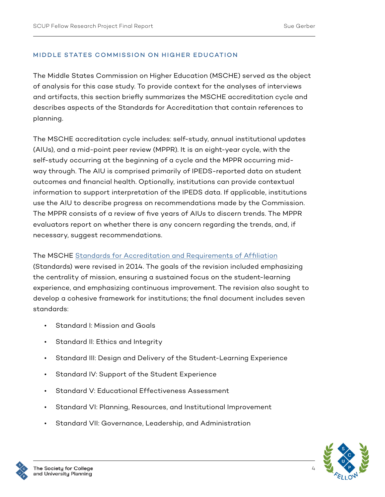#### MIDDLE STATES COMMISSION ON HIGHER EDUCATION

The Middle States Commission on Higher Education (MSCHE) served as the object of analysis for this case study. To provide context for the analyses of interviews and artifacts, this section briefly summarizes the MSCHE accreditation cycle and describes aspects of the Standards for Accreditation that contain references to planning.

The MSCHE accreditation cycle includes: self-study, annual institutional updates (AIUs), and a mid-point peer review (MPPR). It is an eight-year cycle, with the self-study occurring at the beginning of a cycle and the MPPR occurring midway through. The AIU is comprised primarily of IPEDS-reported data on student outcomes and financial health. Optionally, institutions can provide contextual information to support interpretation of the IPEDS data. If applicable, institutions use the AIU to describe progress on recommendations made by the Commission. The MPPR consists of a review of five years of AIUs to discern trends. The MPPR evaluators report on whether there is any concern regarding the trends, and, if necessary, suggest recommendations.

#### The MSCHE [Standards for Accreditation and Requirements of Affiliation](http://www.msche.org/wp-content/uploads/2018/06/RevisedStandardsFINAL.pdf)

(Standards) were revised in 2014. The goals of the revision included emphasizing the centrality of mission, ensuring a sustained focus on the student-learning experience, and emphasizing continuous improvement. The revision also sought to develop a cohesive framework for institutions; the final document includes seven standards:

- Standard I: Mission and Goals
- Standard II: Ethics and Integrity
- Standard III: Design and Delivery of the Student-Learning Experience
- Standard IV: Support of the Student Experience
- Standard V: Educational Effectiveness Assessment
- Standard VI: Planning, Resources, and Institutional Improvement
- Standard VII: Governance, Leadership, and Administration



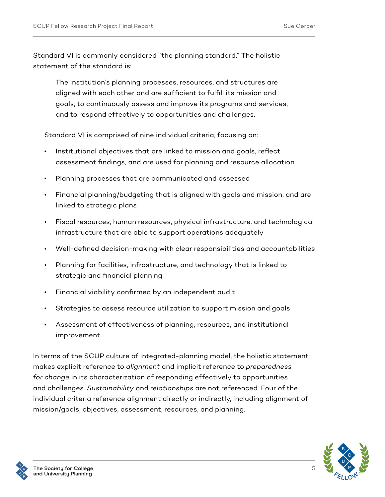Standard VI is commonly considered "the planning standard." The holistic statement of the standard is:

The institution's planning processes, resources, and structures are aligned with each other and are sufficient to fulfill its mission and goals, to continuously assess and improve its programs and services, and to respond effectively to opportunities and challenges.

Standard VI is comprised of nine individual criteria, focusing on:

- Institutional objectives that are linked to mission and goals, reflect assessment findings, and are used for planning and resource allocation
- Planning processes that are communicated and assessed
- Financial planning/budgeting that is aligned with goals and mission, and are linked to strategic plans
- Fiscal resources, human resources, physical infrastructure, and technological infrastructure that are able to support operations adequately
- Well-defined decision-making with clear responsibilities and accountabilities
- Planning for facilities, infrastructure, and technology that is linked to strategic and financial planning
- Financial viability confirmed by an independent audit
- Strategies to assess resource utilization to support mission and goals
- Assessment of effectiveness of planning, resources, and institutional improvement

In terms of the SCUP culture of integrated-planning model, the holistic statement makes explicit reference to *alignment* and implicit reference to *preparedness for change* in its characterization of responding effectively to opportunities and challenges. *Sustainability* and *relationships* are not referenced. Four of the individual criteria reference alignment directly or indirectly, including alignment of mission/goals, objectives, assessment, resources, and planning.



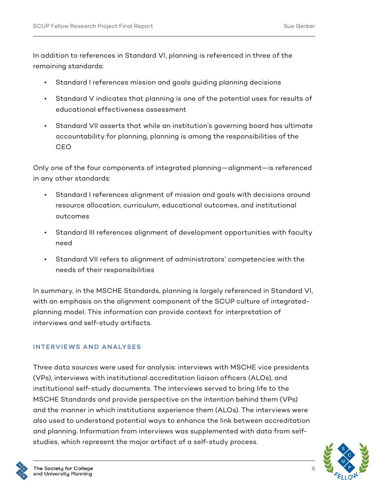In addition to references in Standard VI, planning is referenced in three of the remaining standards:

- Standard I references mission and goals guiding planning decisions
- Standard V indicates that planning is one of the potential uses for results of educational effectiveness assessment
- Standard VII asserts that while an institution's governing board has ultimate accountability for planning, planning is among the responsibilities of the CEO

Only one of the four components of integrated planning—alignment—is referenced in any other standards:

- Standard I references alignment of mission and goals with decisions around resource allocation, curriculum, educational outcomes, and institutional outcomes
- Standard III references alignment of development opportunities with faculty need
- Standard VII refers to alignment of administrators' competencies with the needs of their responsibilities

In summary, in the MSCHE Standards, planning is largely referenced in Standard VI, with an emphasis on the alignment component of the SCUP culture of integratedplanning model. This information can provide context for interpretation of interviews and self-study artifacts.

#### INTERVIEWS AND ANALYSES

Three data sources were used for analysis: interviews with MSCHE vice presidents (VPs), interviews with institutional accreditation liaison officers (ALOs), and institutional self-study documents. The interviews served to bring life to the MSCHE Standards and provide perspective on the intention behind them (VPs) and the manner in which institutions experience them (ALOs). The interviews were also used to understand potential ways to enhance the link between accreditation and planning. Information from interviews was supplemented with data from selfstudies, which represent the major artifact of a self-study process.

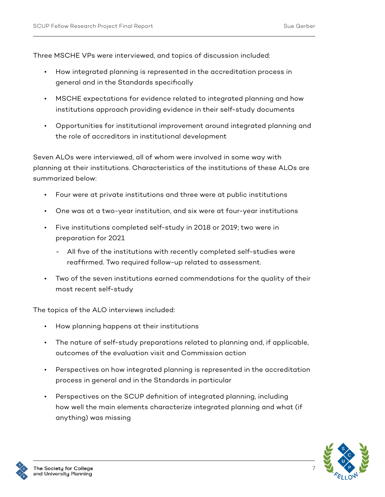Three MSCHE VPs were interviewed, and topics of discussion included:

- How integrated planning is represented in the accreditation process in general and in the Standards specifically
- MSCHE expectations for evidence related to integrated planning and how institutions approach providing evidence in their self-study documents
- Opportunities for institutional improvement around integrated planning and the role of accreditors in institutional development

Seven ALOs were interviewed, all of whom were involved in some way with planning at their institutions. Characteristics of the institutions of these ALOs are summarized below:

- Four were at private institutions and three were at public institutions
- One was at a two-year institution, and six were at four-year institutions
- Five institutions completed self-study in 2018 or 2019; two were in preparation for 2021
	- All five of the institutions with recently completed self-studies were reaffirmed. Two required follow-up related to assessment.
- Two of the seven institutions earned commendations for the quality of their most recent self-study

The topics of the ALO interviews included:

- How planning happens at their institutions
- The nature of self-study preparations related to planning and, if applicable, outcomes of the evaluation visit and Commission action
- Perspectives on how integrated planning is represented in the accreditation process in general and in the Standards in particular
- Perspectives on the SCUP definition of integrated planning, including how well the main elements characterize integrated planning and what (if anything) was missing



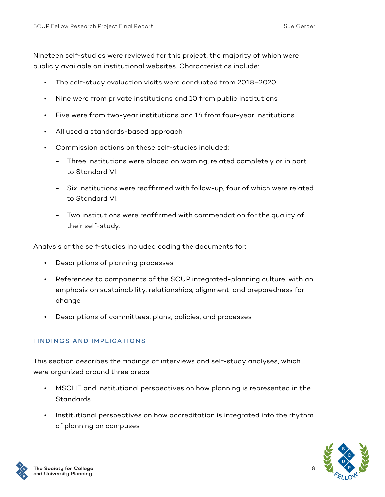Nineteen self-studies were reviewed for this project, the majority of which were publicly available on institutional websites. Characteristics include:

- The self-study evaluation visits were conducted from 2018–2020
- Nine were from private institutions and 10 from public institutions
- Five were from two-year institutions and 14 from four-year institutions
- All used a standards-based approach
- Commission actions on these self-studies included:
	- Three institutions were placed on warning, related completely or in part to Standard VI.
	- Six institutions were reaffirmed with follow-up, four of which were related to Standard VI.
	- Two institutions were reaffirmed with commendation for the quality of their self-study.

Analysis of the self-studies included coding the documents for:

- Descriptions of planning processes
- References to components of the SCUP integrated-planning culture, with an emphasis on sustainability, relationships, alignment, and preparedness for change
- Descriptions of committees, plans, policies, and processes

#### FINDINGS AND IMPLICATIONS

This section describes the findings of interviews and self-study analyses, which were organized around three areas:

- MSCHE and institutional perspectives on how planning is represented in the **Standards**
- Institutional perspectives on how accreditation is integrated into the rhythm of planning on campuses



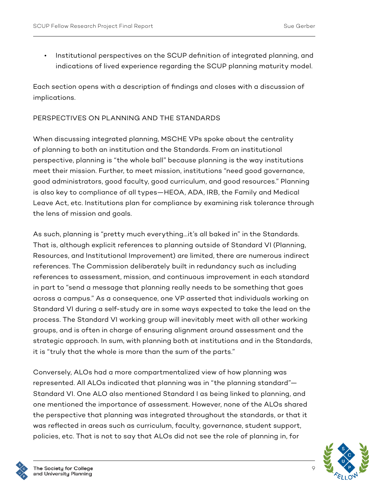• Institutional perspectives on the SCUP definition of integrated planning, and indications of lived experience regarding the SCUP planning maturity model.

Each section opens with a description of findings and closes with a discussion of implications.

#### PERSPECTIVES ON PLANNING AND THE STANDARDS

When discussing integrated planning, MSCHE VPs spoke about the centrality of planning to both an institution and the Standards. From an institutional perspective, planning is "the whole ball" because planning is the way institutions meet their mission. Further, to meet mission, institutions "need good governance, good administrators, good faculty, good curriculum, and good resources." Planning is also key to compliance of all types—HEOA, ADA, IRB, the Family and Medical Leave Act, etc. Institutions plan for compliance by examining risk tolerance through the lens of mission and goals.

As such, planning is "pretty much everything…it's all baked in" in the Standards. That is, although explicit references to planning outside of Standard VI (Planning, Resources, and Institutional Improvement) are limited, there are numerous indirect references. The Commission deliberately built in redundancy such as including references to assessment, mission, and continuous improvement in each standard in part to "send a message that planning really needs to be something that goes across a campus." As a consequence, one VP asserted that individuals working on Standard VI during a self-study are in some ways expected to take the lead on the process. The Standard VI working group will inevitably meet with all other working groups, and is often in charge of ensuring alignment around assessment and the strategic approach. In sum, with planning both at institutions and in the Standards, it is "truly that the whole is more than the sum of the parts."

Conversely, ALOs had a more compartmentalized view of how planning was represented. All ALOs indicated that planning was in "the planning standard"— Standard VI. One ALO also mentioned Standard I as being linked to planning, and one mentioned the importance of assessment. However, none of the ALOs shared the perspective that planning was integrated throughout the standards, or that it was reflected in areas such as curriculum, faculty, governance, student support, policies, etc. That is not to say that ALOs did not see the role of planning in, for

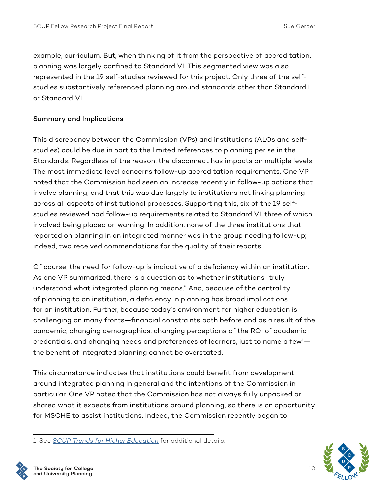example, curriculum. But, when thinking of it from the perspective of accreditation, planning was largely confined to Standard VI. This segmented view was also represented in the 19 self-studies reviewed for this project. Only three of the selfstudies substantively referenced planning around standards other than Standard I or Standard VI.

#### Summary and Implications

This discrepancy between the Commission (VPs) and institutions (ALOs and selfstudies) could be due in part to the limited references to planning per se in the Standards. Regardless of the reason, the disconnect has impacts on multiple levels. The most immediate level concerns follow-up accreditation requirements. One VP noted that the Commission had seen an increase recently in follow-up actions that involve planning, and that this was due largely to institutions not linking planning across all aspects of institutional processes. Supporting this, six of the 19 selfstudies reviewed had follow-up requirements related to Standard VI, three of which involved being placed on warning. In addition, none of the three institutions that reported on planning in an integrated manner was in the group needing follow-up; indeed, two received commendations for the quality of their reports.

Of course, the need for follow-up is indicative of a deficiency within an institution. As one VP summarized, there is a question as to whether institutions "truly understand what integrated planning means." And, because of the centrality of planning to an institution, a deficiency in planning has broad implications for an institution. Further, because today's environment for higher education is challenging on many fronts—financial constraints both before and as a result of the pandemic, changing demographics, changing perceptions of the ROI of academic credentials, and changing needs and preferences of learners, just to name a few $^{1}$  the benefit of integrated planning cannot be overstated.

This circumstance indicates that institutions could benefit from development around integrated planning in general and the intentions of the Commission in particular. One VP noted that the Commission has not always fully unpacked or shared what it expects from institutions around planning, so there is an opportunity for MSCHE to assist institutions. Indeed, the Commission recently began to



<sup>1</sup> See *[SCUP Trends for Higher Education](https://www.scup.org/learning-resources/trends-for-higher-education/)* for additional details.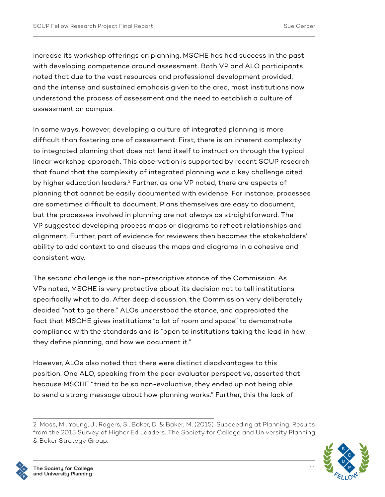increase its workshop offerings on planning. MSCHE has had success in the past with developing competence around assessment. Both VP and ALO participants noted that due to the vast resources and professional development provided, and the intense and sustained emphasis given to the area, most institutions now understand the process of assessment and the need to establish a culture of assessment on campus.

In some ways, however, developing a culture of integrated planning is more difficult than fostering one of assessment. First, there is an inherent complexity to integrated planning that does not lend itself to instruction through the typical linear workshop approach. This observation is supported by recent SCUP research that found that the complexity of integrated planning was a key challenge cited by higher education leaders.<sup>2</sup> Further, as one VP noted, there are aspects of planning that cannot be easily documented with evidence. For instance, processes are sometimes difficult to document. Plans themselves are easy to document, but the processes involved in planning are not always as straightforward. The VP suggested developing process maps or diagrams to reflect relationships and alignment. Further, part of evidence for reviewers then becomes the stakeholders' ability to add context to and discuss the maps and diagrams in a cohesive and consistent way.

The second challenge is the non-prescriptive stance of the Commission. As VPs noted, MSCHE is very protective about its decision not to tell institutions specifically what to do. After deep discussion, the Commission very deliberately decided "not to go there." ALOs understood the stance, and appreciated the fact that MSCHE gives institutions "a lot of room and space" to demonstrate compliance with the standards and is "open to institutions taking the lead in how they define planning, and how we document it."

However, ALOs also noted that there were distinct disadvantages to this position. One ALO, speaking from the peer evaluator perspective, asserted that because MSCHE "tried to be so non-evaluative, they ended up not being able to send a strong message about how planning works." Further, this the lack of

<sup>2</sup> Moss, M., Young, J., Rogers, S., Baker, D. & Baker, M. (2015). Succeeding at Planning, Results from the 2015 Survey of Higher Ed Leaders. The Society for College and University Planning & Baker Strategy Group.

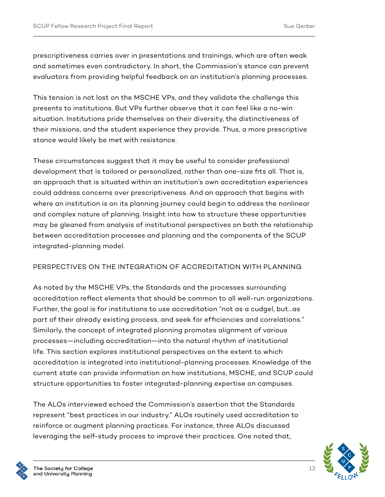prescriptiveness carries over in presentations and trainings, which are often weak and sometimes even contradictory. In short, the Commission's stance can prevent evaluators from providing helpful feedback on an institution's planning processes.

This tension is not lost on the MSCHE VPs, and they validate the challenge this presents to institutions. But VPs further observe that it can feel like a no-win situation. Institutions pride themselves on their diversity, the distinctiveness of their missions, and the student experience they provide. Thus, a more prescriptive stance would likely be met with resistance.

These circumstances suggest that it may be useful to consider professional development that is tailored or personalized, rather than one-size fits all. That is, an approach that is situated within an institution's own accreditation experiences could address concerns over prescriptiveness. And an approach that begins with where an institution is on its planning journey could begin to address the nonlinear and complex nature of planning. Insight into how to structure these opportunities may be gleaned from analysis of institutional perspectives on both the relationship between accreditation processes and planning and the components of the SCUP integrated-planning model.

#### PERSPECTIVES ON THE INTEGRATION OF ACCREDITATION WITH PLANNING

As noted by the MSCHE VPs, the Standards and the processes surrounding accreditation reflect elements that should be common to all well-run organizations. Further, the goal is for institutions to use accreditation "not as a cudgel, but…as part of their already existing process, and seek for efficiencies and correlations." Similarly, the concept of integrated planning promotes alignment of various processes—including accreditation—into the natural rhythm of institutional life. This section explores institutional perspectives on the extent to which accreditation is integrated into institutional-planning processes. Knowledge of the current state can provide information on how institutions, MSCHE, and SCUP could structure opportunities to foster integrated-planning expertise on campuses.

The ALOs interviewed echoed the Commission's assertion that the Standards represent "best practices in our industry." ALOs routinely used accreditation to reinforce or augment planning practices. For instance, three ALOs discussed leveraging the self-study process to improve their practices. One noted that,



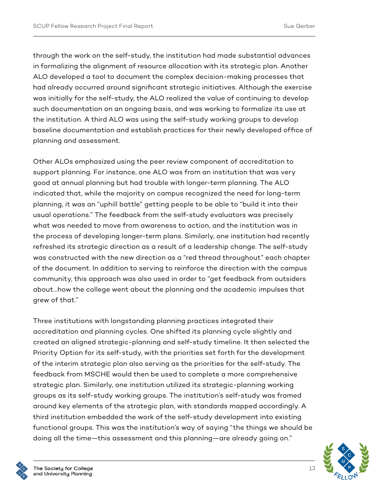through the work on the self-study, the institution had made substantial advances in formalizing the alignment of resource allocation with its strategic plan. Another ALO developed a tool to document the complex decision-making processes that had already occurred around significant strategic initiatives. Although the exercise was initially for the self-study, the ALO realized the value of continuing to develop such documentation on an ongoing basis, and was working to formalize its use at the institution. A third ALO was using the self-study working groups to develop baseline documentation and establish practices for their newly developed office of planning and assessment.

Other ALOs emphasized using the peer review component of accreditation to support planning. For instance, one ALO was from an institution that was very good at annual planning but had trouble with longer-term planning. The ALO indicated that, while the majority on campus recognized the need for long-term planning, it was an "uphill battle" getting people to be able to "build it into their usual operations." The feedback from the self-study evaluators was precisely what was needed to move from awareness to action, and the institution was in the process of developing longer-term plans. Similarly, one institution had recently refreshed its strategic direction as a result of a leadership change. The self-study was constructed with the new direction as a "red thread throughout" each chapter of the document. In addition to serving to reinforce the direction with the campus community, this approach was also used in order to "get feedback from outsiders about…how the college went about the planning and the academic impulses that grew of that."

Three institutions with longstanding planning practices integrated their accreditation and planning cycles. One shifted its planning cycle slightly and created an aligned strategic-planning and self-study timeline. It then selected the Priority Option for its self-study, with the priorities set forth for the development of the interim strategic plan also serving as the priorities for the self-study. The feedback from MSCHE would then be used to complete a more comprehensive strategic plan. Similarly, one institution utilized its strategic-planning working groups as its self-study working groups. The institution's self-study was framed around key elements of the strategic plan, with standards mapped accordingly. A third institution embedded the work of the self-study development into existing functional groups. This was the institution's way of saying "the things we should be doing all the time—this assessment and this planning—are already going on."



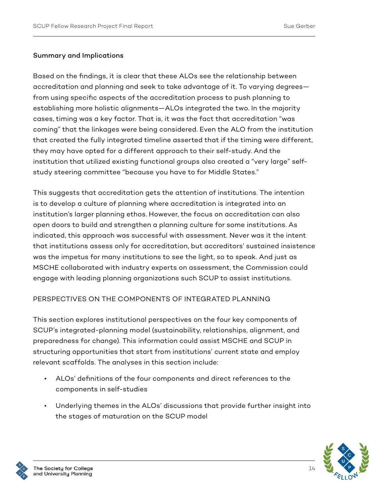#### Summary and Implications

Based on the findings, it is clear that these ALOs see the relationship between accreditation and planning and seek to take advantage of it. To varying degrees from using specific aspects of the accreditation process to push planning to establishing more holistic alignments—ALOs integrated the two. In the majority cases, timing was a key factor. That is, it was the fact that accreditation "was coming" that the linkages were being considered. Even the ALO from the institution that created the fully integrated timeline asserted that if the timing were different, they may have opted for a different approach to their self-study. And the institution that utilized existing functional groups also created a "very large" selfstudy steering committee "because you have to for Middle States."

This suggests that accreditation gets the attention of institutions. The intention is to develop a culture of planning where accreditation is integrated into an institution's larger planning ethos. However, the focus on accreditation can also open doors to build and strengthen a planning culture for some institutions. As indicated, this approach was successful with assessment. Never was it the intent that institutions assess only for accreditation, but accreditors' sustained insistence was the impetus for many institutions to see the light, so to speak. And just as MSCHE collaborated with industry experts on assessment, the Commission could engage with leading planning organizations such SCUP to assist institutions.

#### PERSPECTIVES ON THE COMPONENTS OF INTEGRATED PLANNING

This section explores institutional perspectives on the four key components of SCUP's integrated-planning model (sustainability, relationships, alignment, and preparedness for change). This information could assist MSCHE and SCUP in structuring opportunities that start from institutions' current state and employ relevant scaffolds. The analyses in this section include:

- ALOs' definitions of the four components and direct references to the components in self-studies
- Underlying themes in the ALOs' discussions that provide further insight into the stages of maturation on the SCUP model



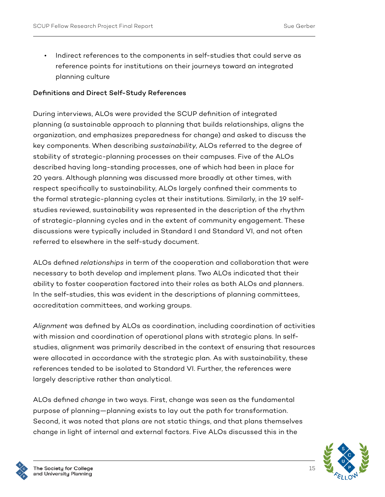• Indirect references to the components in self-studies that could serve as reference points for institutions on their journeys toward an integrated planning culture

#### Definitions and Direct Self-Study References

During interviews, ALOs were provided the SCUP definition of integrated planning (a sustainable approach to planning that builds relationships, aligns the organization, and emphasizes preparedness for change) and asked to discuss the key components. When describing *sustainability*, ALOs referred to the degree of stability of strategic-planning processes on their campuses. Five of the ALOs described having long-standing processes, one of which had been in place for 20 years. Although planning was discussed more broadly at other times, with respect specifically to sustainability, ALOs largely confined their comments to the formal strategic-planning cycles at their institutions. Similarly, in the 19 selfstudies reviewed, sustainability was represented in the description of the rhythm of strategic-planning cycles and in the extent of community engagement. These discussions were typically included in Standard I and Standard VI, and not often referred to elsewhere in the self-study document.

ALOs defined *relationships* in term of the cooperation and collaboration that were necessary to both develop and implement plans. Two ALOs indicated that their ability to foster cooperation factored into their roles as both ALOs and planners. In the self-studies, this was evident in the descriptions of planning committees, accreditation committees, and working groups.

*Alignment* was defined by ALOs as coordination, including coordination of activities with mission and coordination of operational plans with strategic plans. In selfstudies, alignment was primarily described in the context of ensuring that resources were allocated in accordance with the strategic plan. As with sustainability, these references tended to be isolated to Standard VI. Further, the references were largely descriptive rather than analytical.

ALOs defined *change* in two ways. First, change was seen as the fundamental purpose of planning—planning exists to lay out the path for transformation. Second, it was noted that plans are not static things, and that plans themselves change in light of internal and external factors. Five ALOs discussed this in the

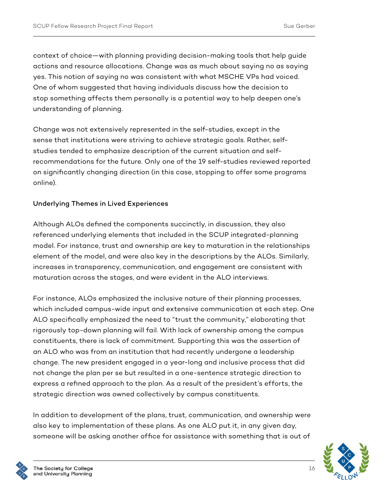context of choice—with planning providing decision-making tools that help guide actions and resource allocations. Change was as much about saying no as saying yes. This notion of saying no was consistent with what MSCHE VPs had voiced. One of whom suggested that having individuals discuss how the decision to stop something affects them personally is a potential way to help deepen one's understanding of planning.

Change was not extensively represented in the self-studies, except in the sense that institutions were striving to achieve strategic goals. Rather, selfstudies tended to emphasize description of the current situation and selfrecommendations for the future. Only one of the 19 self-studies reviewed reported on significantly changing direction (in this case, stopping to offer some programs online).

#### Underlying Themes in Lived Experiences

Although ALOs defined the components succinctly, in discussion, they also referenced underlying elements that included in the SCUP integrated-planning model. For instance, trust and ownership are key to maturation in the relationships element of the model, and were also key in the descriptions by the ALOs. Similarly, increases in transparency, communication, and engagement are consistent with maturation across the stages, and were evident in the ALO interviews.

For instance, ALOs emphasized the inclusive nature of their planning processes, which included campus-wide input and extensive communication at each step. One ALO specifically emphasized the need to "trust the community," elaborating that rigorously top-down planning will fail. With lack of ownership among the campus constituents, there is lack of commitment. Supporting this was the assertion of an ALO who was from an institution that had recently undergone a leadership change. The new president engaged in a year-long and inclusive process that did not change the plan per se but resulted in a one-sentence strategic direction to express a refined approach to the plan. As a result of the president's efforts, the strategic direction was owned collectively by campus constituents.

In addition to development of the plans, trust, communication, and ownership were also key to implementation of these plans. As one ALO put it, in any given day, someone will be asking another office for assistance with something that is out of

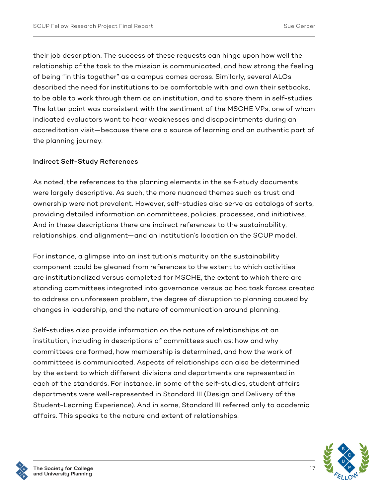their job description. The success of these requests can hinge upon how well the relationship of the task to the mission is communicated, and how strong the feeling of being "in this together" as a campus comes across. Similarly, several ALOs described the need for institutions to be comfortable with and own their setbacks, to be able to work through them as an institution, and to share them in self-studies. The latter point was consistent with the sentiment of the MSCHE VPs, one of whom indicated evaluators want to hear weaknesses and disappointments during an accreditation visit—because there are a source of learning and an authentic part of the planning journey.

#### Indirect Self-Study References

As noted, the references to the planning elements in the self-study documents were largely descriptive. As such, the more nuanced themes such as trust and ownership were not prevalent. However, self-studies also serve as catalogs of sorts, providing detailed information on committees, policies, processes, and initiatives. And in these descriptions there are indirect references to the sustainability, relationships, and alignment—and an institution's location on the SCUP model.

For instance, a glimpse into an institution's maturity on the sustainability component could be gleaned from references to the extent to which activities are institutionalized versus completed for MSCHE, the extent to which there are standing committees integrated into governance versus ad hoc task forces created to address an unforeseen problem, the degree of disruption to planning caused by changes in leadership, and the nature of communication around planning.

Self-studies also provide information on the nature of relationships at an institution, including in descriptions of committees such as: how and why committees are formed, how membership is determined, and how the work of committees is communicated. Aspects of relationships can also be determined by the extent to which different divisions and departments are represented in each of the standards. For instance, in some of the self-studies, student affairs departments were well-represented in Standard III (Design and Delivery of the Student-Learning Experience). And in some, Standard III referred only to academic affairs. This speaks to the nature and extent of relationships.



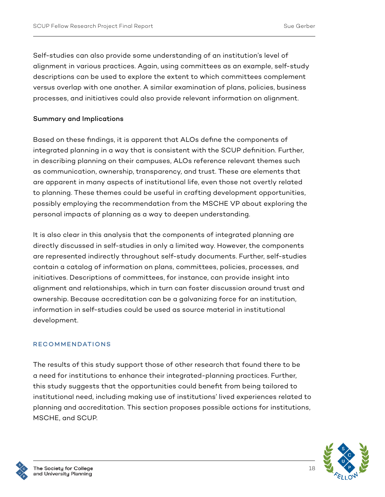Self-studies can also provide some understanding of an institution's level of alignment in various practices. Again, using committees as an example, self-study descriptions can be used to explore the extent to which committees complement versus overlap with one another. A similar examination of plans, policies, business processes, and initiatives could also provide relevant information on alignment.

#### Summary and Implications

Based on these findings, it is apparent that ALOs define the components of integrated planning in a way that is consistent with the SCUP definition. Further, in describing planning on their campuses, ALOs reference relevant themes such as communication, ownership, transparency, and trust. These are elements that are apparent in many aspects of institutional life, even those not overtly related to planning. These themes could be useful in crafting development opportunities, possibly employing the recommendation from the MSCHE VP about exploring the personal impacts of planning as a way to deepen understanding.

It is also clear in this analysis that the components of integrated planning are directly discussed in self-studies in only a limited way. However, the components are represented indirectly throughout self-study documents. Further, self-studies contain a catalog of information on plans, committees, policies, processes, and initiatives. Descriptions of committees, for instance, can provide insight into alignment and relationships, which in turn can foster discussion around trust and ownership. Because accreditation can be a galvanizing force for an institution, information in self-studies could be used as source material in institutional development.

#### **RECOMMENDATIONS**

The results of this study support those of other research that found there to be a need for institutions to enhance their integrated-planning practices. Further, this study suggests that the opportunities could benefit from being tailored to institutional need, including making use of institutions' lived experiences related to planning and accreditation. This section proposes possible actions for institutions, MSCHE, and SCUP.

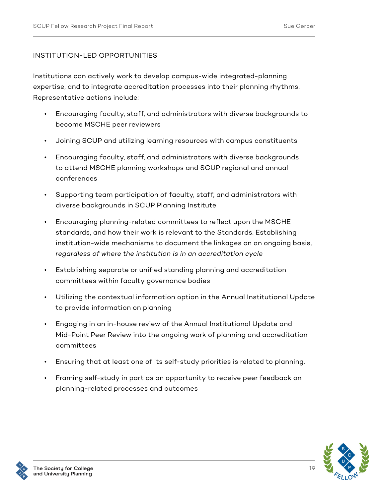#### INSTITUTION-LED OPPORTUNITIES

Institutions can actively work to develop campus-wide integrated-planning expertise, and to integrate accreditation processes into their planning rhythms. Representative actions include:

- Encouraging faculty, staff, and administrators with diverse backgrounds to become MSCHE peer reviewers
- Joining SCUP and utilizing learning resources with campus constituents
- Encouraging faculty, staff, and administrators with diverse backgrounds to attend MSCHE planning workshops and SCUP regional and annual conferences
- Supporting team participation of faculty, staff, and administrators with diverse backgrounds in SCUP Planning Institute
- Encouraging planning-related committees to reflect upon the MSCHE standards, and how their work is relevant to the Standards. Establishing institution-wide mechanisms to document the linkages on an ongoing basis, *regardless of where the institution is in an accreditation cycle*
- Establishing separate or unified standing planning and accreditation committees within faculty governance bodies
- Utilizing the contextual information option in the Annual Institutional Update to provide information on planning
- Engaging in an in-house review of the Annual Institutional Update and Mid-Point Peer Review into the ongoing work of planning and accreditation committees
- Ensuring that at least one of its self-study priorities is related to planning.
- Framing self-study in part as an opportunity to receive peer feedback on planning-related processes and outcomes



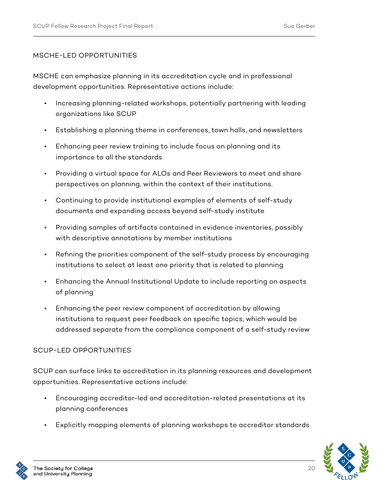#### MSCHE-LED OPPORTUNITIES

MSCHE can emphasize planning in its accreditation cycle and in professional development opportunities. Representative actions include:

- Increasing planning-related workshops, potentially partnering with leading organizations like SCUP
- Establishing a planning theme in conferences, town halls, and newsletters
- Enhancing peer review training to include focus on planning and its importance to all the standards
- Providing a virtual space for ALOs and Peer Reviewers to meet and share perspectives on planning, within the context of their institutions.
- Continuing to provide institutional examples of elements of self-study documents and expanding access beyond self-study institute
- Providing samples of artifacts contained in evidence inventories, possibly with descriptive annotations by member institutions
- Refining the priorities component of the self-study process by encouraging institutions to select at least one priority that is related to planning
- Enhancing the Annual Institutional Update to include reporting on aspects of planning
- Enhancing the peer review component of accreditation by allowing institutions to request peer feedback on specific topics, which would be addressed separate from the compliance component of a self-study review

#### SCUP-LED OPPORTUNITIES

SCUP can surface links to accreditation in its planning resources and development opportunities. Representative actions include:

- Encouraging accreditor-led and accreditation-related presentations at its planning conferences
- Explicitly mapping elements of planning workshops to accreditor standards



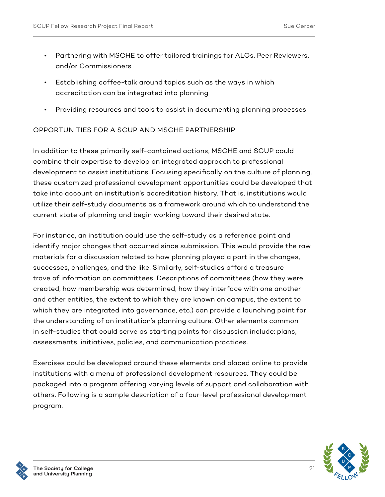- Partnering with MSCHE to offer tailored trainings for ALOs, Peer Reviewers, and/or Commissioners
- Establishing coffee-talk around topics such as the ways in which accreditation can be integrated into planning
- Providing resources and tools to assist in documenting planning processes

#### OPPORTUNITIES FOR A SCUP AND MSCHE PARTNERSHIP

In addition to these primarily self-contained actions, MSCHE and SCUP could combine their expertise to develop an integrated approach to professional development to assist institutions. Focusing specifically on the culture of planning, these customized professional development opportunities could be developed that take into account an institution's accreditation history. That is, institutions would utilize their self-study documents as a framework around which to understand the current state of planning and begin working toward their desired state.

For instance, an institution could use the self-study as a reference point and identify major changes that occurred since submission. This would provide the raw materials for a discussion related to how planning played a part in the changes, successes, challenges, and the like. Similarly, self-studies afford a treasure trove of information on committees. Descriptions of committees (how they were created, how membership was determined, how they interface with one another and other entities, the extent to which they are known on campus, the extent to which they are integrated into governance, etc.) can provide a launching point for the understanding of an institution's planning culture. Other elements common in self-studies that could serve as starting points for discussion include: plans, assessments, initiatives, policies, and communication practices.

Exercises could be developed around these elements and placed online to provide institutions with a menu of professional development resources. They could be packaged into a program offering varying levels of support and collaboration with others. Following is a sample description of a four-level professional development program.

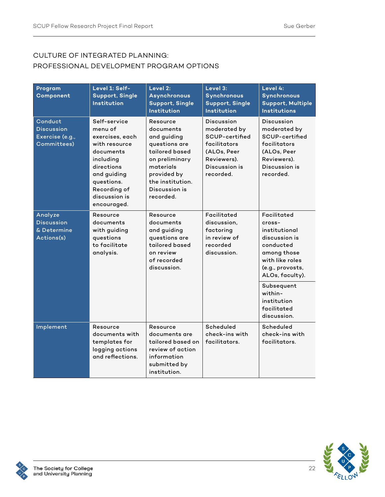#### CULTURE OF INTEGRATED PLANNING: PROFESSIONAL DEVELOPMENT PROGRAM OPTIONS

| Program<br>Component                                           | Level 1: Self-<br>Support, Single<br><b>Institution</b>                                                                                                                          | Level 2:<br><b>Asynchronous</b><br><b>Support, Single</b><br>Institution                                                                                                | Level 3:<br>Synchronous<br><b>Support, Single</b><br>Institution                                                                | Level 4:<br><b>Synchronous</b><br><b>Support, Multiple</b><br><b>Institutions</b>                                                                                                                                   |
|----------------------------------------------------------------|----------------------------------------------------------------------------------------------------------------------------------------------------------------------------------|-------------------------------------------------------------------------------------------------------------------------------------------------------------------------|---------------------------------------------------------------------------------------------------------------------------------|---------------------------------------------------------------------------------------------------------------------------------------------------------------------------------------------------------------------|
| Conduct<br><b>Discussion</b><br>Exercise (e.g.,<br>Committees) | Self-service<br>menu of<br>exercises, each<br>with resource<br>documents<br>including<br>directions<br>and guiding<br>questions.<br>Recording of<br>discussion is<br>encouraged. | Resource<br>documents<br>and guiding<br>questions are<br>tailored based<br>on preliminary<br>materials<br>provided by<br>the institution.<br>Discussion is<br>recorded. | <b>Discussion</b><br>moderated by<br>SCUP-certified<br>facilitators<br>(ALOs, Peer<br>Reviewers).<br>Discussion is<br>recorded. | <b>Discussion</b><br>moderated by<br>SCUP-certified<br>facilitators<br>(ALOs, Peer<br>Reviewers).<br>Discussion is<br>recorded.                                                                                     |
| Analyze<br><b>Discussion</b><br>& Determine<br>Actions(s)      | Resource<br>documents<br>with guiding<br>questions<br>to facilitate<br>analysis.                                                                                                 | Resource<br>documents<br>and guiding<br>questions are<br>tailored based<br>on review<br>of recorded<br>discussion.                                                      | Facilitated<br>discussion.<br>factoring<br>in review of<br>recorded<br>discussion.                                              | Facilitated<br>cross-<br>institutional<br>discussion is<br>conducted<br>among those<br>with like roles<br>(e.g., provosts,<br>ALOs, faculty).<br>Subsequent<br>within-<br>institution<br>facilitated<br>discussion. |
| Implement                                                      | Resource<br>documents with<br>templates for<br>logging actions<br>and reflections.                                                                                               | Resource<br>documents are<br>tailored based on<br>review of action<br>information<br>submitted by<br>institution.                                                       | Scheduled<br>check-ins with<br>facilitators.                                                                                    | Scheduled<br>check-ins with<br>facilitators.                                                                                                                                                                        |



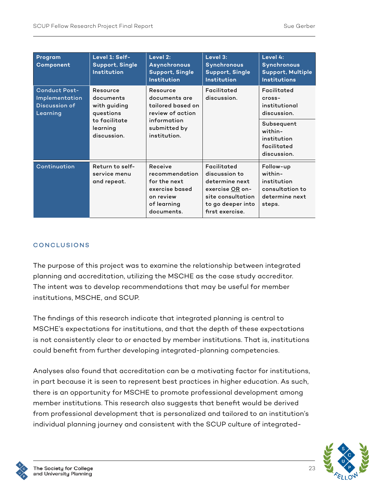| Program<br>Component                                                                                                                                                                                                                                                  | Level 1: Self-<br>Support, Single<br><b>Institution</b> | Level 2:<br>Asynchronous<br><b>Support, Single</b><br><b>Institution</b>                              | Level 3:<br>Synchronous<br><b>Support, Single</b><br><b>Institution</b>                                                        | Level 4:<br><b>Synchronous</b><br><b>Support, Multiple</b><br><b>Institutions</b>  |
|-----------------------------------------------------------------------------------------------------------------------------------------------------------------------------------------------------------------------------------------------------------------------|---------------------------------------------------------|-------------------------------------------------------------------------------------------------------|--------------------------------------------------------------------------------------------------------------------------------|------------------------------------------------------------------------------------|
| <b>Conduct Post-</b><br>Resource<br>Resource<br>Implementation<br>documents<br>documents are<br>Discussion of<br>with guiding<br>Learning<br>review of action<br>questions<br>to facilitate<br>information<br>submitted by<br>learning<br>discussion.<br>institution. | tailored based on                                       | Facilitated<br>discussion.                                                                            | Facilitated<br>cross-<br>institutional<br>discussion.                                                                          |                                                                                    |
|                                                                                                                                                                                                                                                                       |                                                         |                                                                                                       | Subsequent<br>within-<br>institution<br>facilitated<br>discussion.                                                             |                                                                                    |
| Continuation                                                                                                                                                                                                                                                          | Return to self-<br>service menu<br>and repeat.          | Receive<br>recommendation<br>for the next<br>exercise based<br>on review<br>of learning<br>documents. | Facilitated<br>discussion to<br>determine next<br>exercise OR on-<br>site consultation<br>to go deeper into<br>first exercise. | Follow-up<br>within-<br>institution<br>consultation to<br>determine next<br>steps. |

#### CONCLUSIONS

The purpose of this project was to examine the relationship between integrated planning and accreditation, utilizing the MSCHE as the case study accreditor. The intent was to develop recommendations that may be useful for member institutions, MSCHE, and SCUP.

The findings of this research indicate that integrated planning is central to MSCHE's expectations for institutions, and that the depth of these expectations is not consistently clear to or enacted by member institutions. That is, institutions could benefit from further developing integrated-planning competencies.

Analyses also found that accreditation can be a motivating factor for institutions, in part because it is seen to represent best practices in higher education. As such, there is an opportunity for MSCHE to promote professional development among member institutions. This research also suggests that benefit would be derived from professional development that is personalized and tailored to an institution's individual planning journey and consistent with the SCUP culture of integrated-

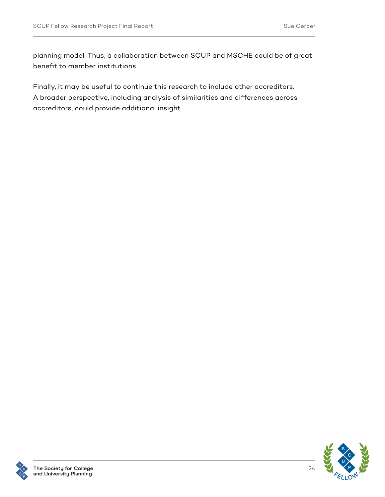planning model. Thus, a collaboration between SCUP and MSCHE could be of great benefit to member institutions.

Finally, it may be useful to continue this research to include other accreditors. A broader perspective, including analysis of similarities and differences across accreditors, could provide additional insight.



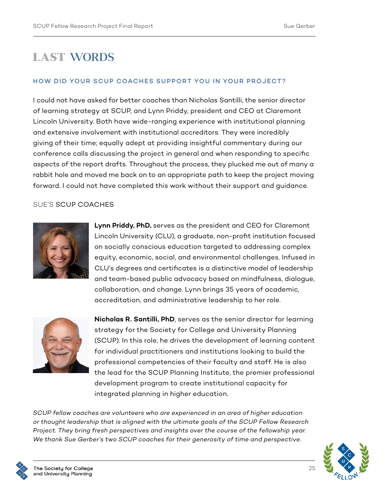### LAST WORDS

#### HOW DID YOUR SCUP COACHES SUPPORT YOU IN YOUR PROJECT?

I could not have asked for better coaches than Nicholas Santilli, the senior director of learning strategy at SCUP, and Lynn Priddy, president and CEO at Claremont Lincoln University. Both have wide-ranging experience with institutional planning and extensive involvement with institutional accreditors. They were incredibly giving of their time; equally adept at providing insightful commentary during our conference calls discussing the project in general and when responding to specific aspects of the report drafts. Throughout the process, they plucked me out of many a rabbit hole and moved me back on to an appropriate path to keep the project moving forward. I could not have completed this work without their support and guidance.

#### SUE'S SCUP COACHES



**Lynn Priddy, PhD,** serves as the president and CEO for Claremont Lincoln University (CLU), a graduate, non-profit institution focused on socially conscious education targeted to addressing complex equity, economic, social, and environmental challenges. Infused in CLU's degrees and certificates is a distinctive model of leadership and team-based public advocacy based on mindfulness, dialogue, collaboration, and change. Lynn brings 35 years of academic, accreditation, and administrative leadership to her role.



**Nicholas R. Santilli, PhD**, serves as the senior director for learning strategy for the Society for College and University Planning (SCUP). In this role, he drives the development of learning content for individual practitioners and institutions looking to build the professional competencies of their faculty and staff. He is also the lead for the SCUP Planning Institute, the premier professional development program to create institutional capacity for integrated planning in higher education.

*SCUP fellow coaches are volunteers who are experienced in an area of higher education or thought leadership that is aligned with the ultimate goals of the SCUP Fellow Research Project. They bring fresh perspectives and insights over the course of the fellowship year. We thank Sue Gerber's two SCUP coaches for their generosity of time and perspective.* 



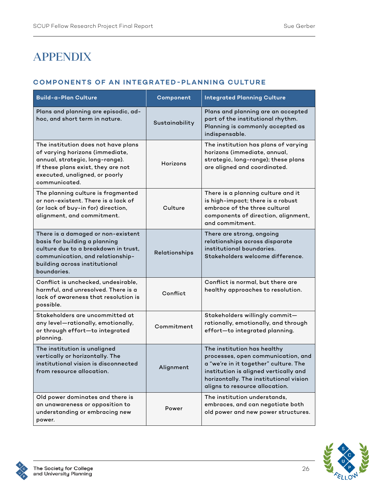## APPENDIX

#### **COMPONENTS OF AN INTEGRATED-PLANNING CULTURE**

| <b>Build-a-Plan Culture</b>                                                                                                                                                                        | Component      | <b>Integrated Planning Culture</b>                                                                                                                                                                                              |
|----------------------------------------------------------------------------------------------------------------------------------------------------------------------------------------------------|----------------|---------------------------------------------------------------------------------------------------------------------------------------------------------------------------------------------------------------------------------|
| Plans and planning are episodic, ad-<br>hoc, and short term in nature.                                                                                                                             | Sustainability | Plans and planning are an accepted<br>part of the institutional rhythm.<br>Planning is commonly accepted as<br>indispensable.                                                                                                   |
| The institution does not have plans<br>of varying horizons (immediate,<br>annual, strategic, long-range).<br>If these plans exist, they are not<br>executed, unaligned, or poorly<br>communicated. | Horizons       | The institution has plans of varying<br>horizons (immediate, annual,<br>strategic, long-range); these plans<br>are aligned and coordinated.                                                                                     |
| The planning culture is fragmented<br>or non-existent. There is a lack of<br>(or lack of buy-in for) direction,<br>alignment, and commitment.                                                      | Culture        | There is a planning culture and it<br>is high-impact; there is a robust<br>embrace of the three cultural<br>components of direction, alignment,<br>and commitment.                                                              |
| There is a damaged or non-existent<br>basis for building a planning<br>culture due to a breakdown in trust,<br>communication, and relationship-<br>building across institutional<br>boundaries.    | Relationships  | There are strong, ongoing<br>relationships across disparate<br>institutional boundaries.<br>Stakeholders welcome difference.                                                                                                    |
| Conflict is unchecked, undesirable,<br>harmful, and unresolved. There is a<br>lack of awareness that resolution is<br>possible.                                                                    | Conflict       | Conflict is normal, but there are<br>healthy approaches to resolution.                                                                                                                                                          |
| Stakeholders are uncommitted at<br>any level-rationally, emotionally,<br>or through effort-to integrated<br>planning.                                                                              | Commitment     | Stakeholders willingly commit-<br>rationally, emotionally, and through<br>effort-to integrated planning.                                                                                                                        |
| The institution is unaligned<br>vertically or horizontally. The<br>institutional vision is disconnected<br>from resource allocation.                                                               | Alignment      | The institution has healthy<br>processes, open communication, and<br>a "we're in it together" culture. The<br>institution is aligned vertically and<br>horizontally. The institutional vision<br>aligns to resource allocation. |
| Old power dominates and there is<br>an unawareness or opposition to<br>understanding or embracing new<br>power.                                                                                    | Power          | The institution understands,<br>embraces, and can negotiate both<br>old power and new power structures.                                                                                                                         |